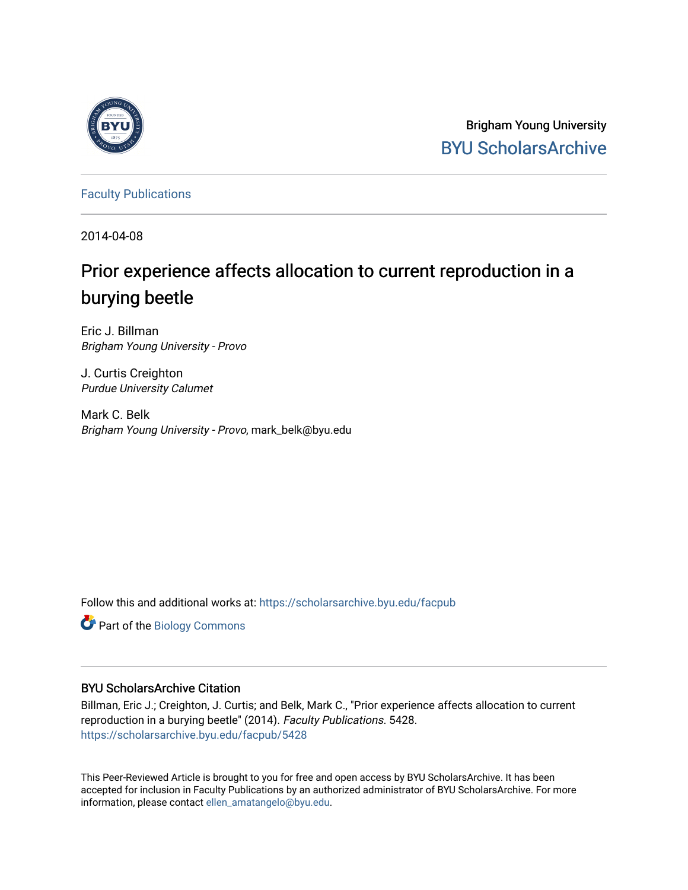

Brigham Young University [BYU ScholarsArchive](https://scholarsarchive.byu.edu/) 

[Faculty Publications](https://scholarsarchive.byu.edu/facpub)

2014-04-08

# Prior experience affects allocation to current reproduction in a burying beetle

Eric J. Billman Brigham Young University - Provo

J. Curtis Creighton Purdue University Calumet

Mark C. Belk Brigham Young University - Provo, mark\_belk@byu.edu

Follow this and additional works at: [https://scholarsarchive.byu.edu/facpub](https://scholarsarchive.byu.edu/facpub?utm_source=scholarsarchive.byu.edu%2Ffacpub%2F5428&utm_medium=PDF&utm_campaign=PDFCoverPages) 

Part of the [Biology Commons](http://network.bepress.com/hgg/discipline/41?utm_source=scholarsarchive.byu.edu%2Ffacpub%2F5428&utm_medium=PDF&utm_campaign=PDFCoverPages) 

### BYU ScholarsArchive Citation

Billman, Eric J.; Creighton, J. Curtis; and Belk, Mark C., "Prior experience affects allocation to current reproduction in a burying beetle" (2014). Faculty Publications. 5428. [https://scholarsarchive.byu.edu/facpub/5428](https://scholarsarchive.byu.edu/facpub/5428?utm_source=scholarsarchive.byu.edu%2Ffacpub%2F5428&utm_medium=PDF&utm_campaign=PDFCoverPages)

This Peer-Reviewed Article is brought to you for free and open access by BYU ScholarsArchive. It has been accepted for inclusion in Faculty Publications by an authorized administrator of BYU ScholarsArchive. For more information, please contact [ellen\\_amatangelo@byu.edu.](mailto:ellen_amatangelo@byu.edu)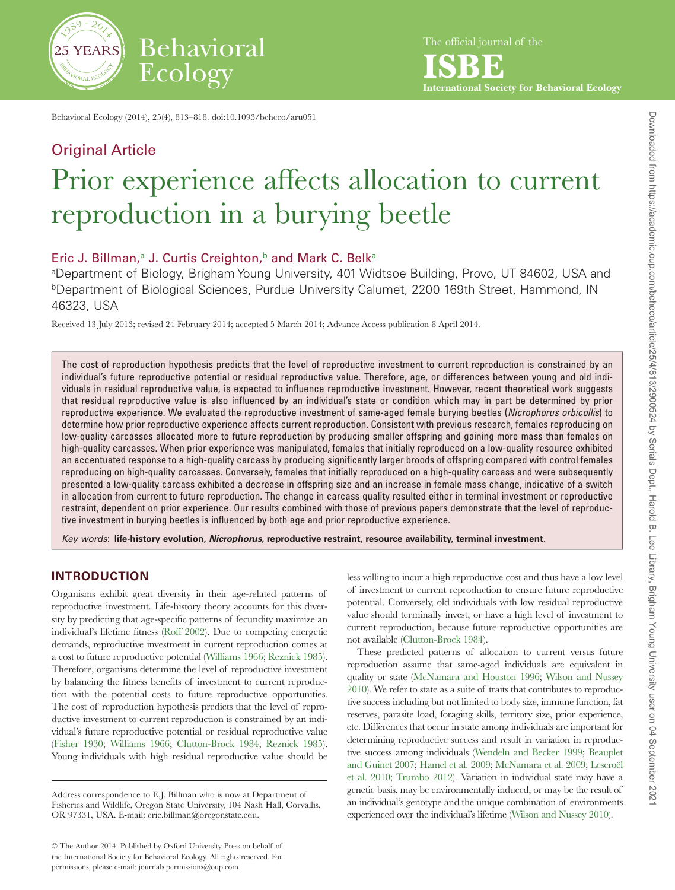

Behavioral Ecology (2014), 25(4), 813–818. doi:10.1093/beheco/aru051

# Original Article Prior experience affects allocation to current reproduction in a burying beetle

## Eric J. Billman,<sup>a</sup> J. Curtis Creighton,<sup>[b](#page-1-1)</sup> and Mark C. Belk<sup>a</sup>

<span id="page-1-1"></span><span id="page-1-0"></span>aDepartment of Biology, Brigham Young University, 401 Widtsoe Building, Provo, UT 84602, USA and **bDepartment of Biological Sciences, Purdue University Calumet, 2200 169th Street, Hammond, IN** 46323, USA

Received 13 July 2013; revised 24 February 2014; accepted 5 March 2014; Advance Access publication 8 April 2014.

The cost of reproduction hypothesis predicts that the level of reproductive investment to current reproduction is constrained by an individual's future reproductive potential or residual reproductive value. Therefore, age, or differences between young and old individuals in residual reproductive value, is expected to influence reproductive investment. However, recent theoretical work suggests that residual reproductive value is also influenced by an individual's state or condition which may in part be determined by prior reproductive experience. We evaluated the reproductive investment of same-aged female burying beetles (*Nicrophorus orbicollis*) to determine how prior reproductive experience affects current reproduction. Consistent with previous research, females reproducing on low-quality carcasses allocated more to future reproduction by producing smaller offspring and gaining more mass than females on high-quality carcasses. When prior experience was manipulated, females that initially reproduced on a low-quality resource exhibited an accentuated response to a high-quality carcass by producing significantly larger broods of offspring compared with control females reproducing on high-quality carcasses. Conversely, females that initially reproduced on a high-quality carcass and were subsequently presented a low-quality carcass exhibited a decrease in offspring size and an increase in female mass change, indicative of a switch in allocation from current to future reproduction. The change in carcass quality resulted either in terminal investment or reproductive restraint, dependent on prior experience. Our results combined with those of previous papers demonstrate that the level of reproductive investment in burying beetles is influenced by both age and prior reproductive experience.

*Key words*: **life-history evolution,** *Nicrophorus***, reproductive restraint, resource availability, terminal investment.**

#### **Introduction**

Organisms exhibit great diversity in their age-related patterns of reproductive investment. Life-history theory accounts for this diversity by predicting that age-specific patterns of fecundity maximize an individual's lifetime fitness [\(Roff 2002](#page-5-0)). Due to competing energetic demands, reproductive investment in current reproduction comes at a cost to future reproductive potential [\(Williams 1966;](#page-6-0) [Reznick 1985](#page-5-1)). Therefore, organisms determine the level of reproductive investment by balancing the fitness benefits of investment to current reproduction with the potential costs to future reproductive opportunities. The cost of reproduction hypothesis predicts that the level of reproductive investment to current reproduction is constrained by an individual's future reproductive potential or residual reproductive value [\(Fisher 1930;](#page-5-2) [Williams 1966](#page-6-0); [Clutton-Brock 1984;](#page-5-3) [Reznick 1985](#page-5-1)). Young individuals with high residual reproductive value should be

Address correspondence to E.J. Billman who is now at Department of Fisheries and Wildlife, Oregon State University, 104 Nash Hall, Corvallis, OR 97331, USA. E-mail: eric.billman@oregonstate.edu.

© The Author 2014. Published by Oxford University Press on behalf of the International Society for Behavioral Ecology. All rights reserved. For permissions, please e-mail: journals.permissions@oup.com

less willing to incur a high reproductive cost and thus have a low level of investment to current reproduction to ensure future reproductive potential. Conversely, old individuals with low residual reproductive value should terminally invest, or have a high level of investment to current reproduction, because future reproductive opportunities are not available ([Clutton-Brock 1984](#page-5-3)).

The official journal of the

**ISBE International Society for Behavioral Ecology**

These predicted patterns of allocation to current versus future reproduction assume that same-aged individuals are equivalent in quality or state ([McNamara and Houston 1996;](#page-5-4) [Wilson and Nussey](#page-6-1) [2010\)](#page-6-1). We refer to state as a suite of traits that contributes to reproductive success including but not limited to body size, immune function, fat reserves, parasite load, foraging skills, territory size, prior experience, etc. Differences that occur in state among individuals are important for determining reproductive success and result in variation in reproductive success among individuals ([Wendeln and Becker 1999](#page-6-2); [Beauplet](#page-5-5) [and Guinet 2007;](#page-5-5) [Hamel et al. 2009;](#page-5-6) [McNamara et al. 2009](#page-5-7); [Lescroël](#page-5-8) [et al. 2010](#page-5-8); [Trumbo 2012](#page-6-3)). Variation in individual state may have a genetic basis, may be environmentally induced, or may be the result of an individual's genotype and the unique combination of environments experienced over the individual's lifetime [\(Wilson and Nussey 2010](#page-6-1)).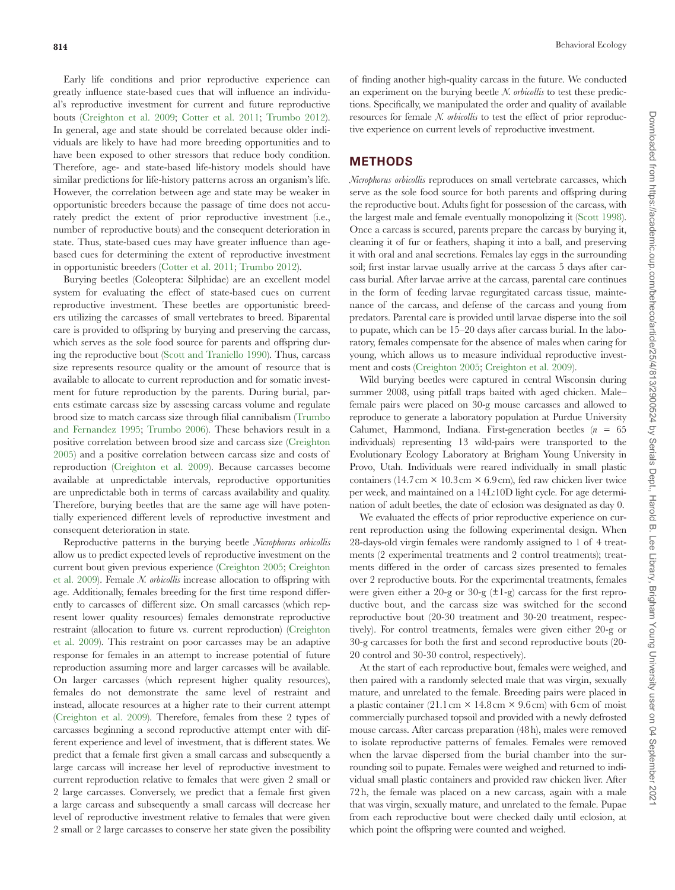Early life conditions and prior reproductive experience can greatly influence state-based cues that will influence an individual's reproductive investment for current and future reproductive bouts [\(Creighton et al. 2009;](#page-5-9) [Cotter et al. 2011](#page-5-10); [Trumbo 2012](#page-6-3)). In general, age and state should be correlated because older individuals are likely to have had more breeding opportunities and to have been exposed to other stressors that reduce body condition. Therefore, age- and state-based life-history models should have similar predictions for life-history patterns across an organism's life. However, the correlation between age and state may be weaker in opportunistic breeders because the passage of time does not accurately predict the extent of prior reproductive investment (i.e., number of reproductive bouts) and the consequent deterioration in state. Thus, state-based cues may have greater influence than agebased cues for determining the extent of reproductive investment in opportunistic breeders [\(Cotter et al. 2011](#page-5-10); [Trumbo 2012](#page-6-3)).

Burying beetles (Coleoptera: Silphidae) are an excellent model system for evaluating the effect of state-based cues on current reproductive investment. These beetles are opportunistic breeders utilizing the carcasses of small vertebrates to breed. Biparental care is provided to offspring by burying and preserving the carcass, which serves as the sole food source for parents and offspring during the reproductive bout [\(Scott and Traniello 1990\)](#page-6-4). Thus, carcass size represents resource quality or the amount of resource that is available to allocate to current reproduction and for somatic investment for future reproduction by the parents. During burial, parents estimate carcass size by assessing carcass volume and regulate brood size to match carcass size through filial cannibalism ([Trumbo](#page-6-5)  [and Fernandez 1995;](#page-6-5) [Trumbo 2006](#page-6-6)). These behaviors result in a positive correlation between brood size and carcass size ([Creighton](#page-5-11)  [2005\)](#page-5-11) and a positive correlation between carcass size and costs of reproduction [\(Creighton et al. 2009\)](#page-5-9). Because carcasses become available at unpredictable intervals, reproductive opportunities are unpredictable both in terms of carcass availability and quality. Therefore, burying beetles that are the same age will have potentially experienced different levels of reproductive investment and consequent deterioration in state.

Reproductive patterns in the burying beetle *Nicrophorus orbicollis* allow us to predict expected levels of reproductive investment on the current bout given previous experience [\(Creighton 2005](#page-5-11); [Creighton](#page-5-9)  [et al. 2009\)](#page-5-9). Female *N. orbicollis* increase allocation to offspring with age. Additionally, females breeding for the first time respond differently to carcasses of different size. On small carcasses (which represent lower quality resources) females demonstrate reproductive restraint (allocation to future vs. current reproduction) [\(Creighton](#page-5-9)  [et al. 2009\)](#page-5-9). This restraint on poor carcasses may be an adaptive response for females in an attempt to increase potential of future reproduction assuming more and larger carcasses will be available. On larger carcasses (which represent higher quality resources), females do not demonstrate the same level of restraint and instead, allocate resources at a higher rate to their current attempt [\(Creighton et al. 2009\)](#page-5-9). Therefore, females from these 2 types of carcasses beginning a second reproductive attempt enter with different experience and level of investment, that is different states. We predict that a female first given a small carcass and subsequently a large carcass will increase her level of reproductive investment to current reproduction relative to females that were given 2 small or 2 large carcasses. Conversely, we predict that a female first given a large carcass and subsequently a small carcass will decrease her level of reproductive investment relative to females that were given 2 small or 2 large carcasses to conserve her state given the possibility

of finding another high-quality carcass in the future. We conducted an experiment on the burying beetle *N. orbicollis* to test these predictions. Specifically, we manipulated the order and quality of available resources for female *N. orbicollis* to test the effect of prior reproductive experience on current levels of reproductive investment.

#### **Methods**

*Nicrophorus orbicollis* reproduces on small vertebrate carcasses, which serve as the sole food source for both parents and offspring during the reproductive bout. Adults fight for possession of the carcass, with the largest male and female eventually monopolizing it ([Scott 1998](#page-5-12)). Once a carcass is secured, parents prepare the carcass by burying it, cleaning it of fur or feathers, shaping it into a ball, and preserving it with oral and anal secretions. Females lay eggs in the surrounding soil; first instar larvae usually arrive at the carcass 5 days after carcass burial. After larvae arrive at the carcass, parental care continues in the form of feeding larvae regurgitated carcass tissue, maintenance of the carcass, and defense of the carcass and young from predators. Parental care is provided until larvae disperse into the soil to pupate, which can be 15–20 days after carcass burial. In the laboratory, females compensate for the absence of males when caring for young, which allows us to measure individual reproductive investment and costs ([Creighton 2005](#page-5-11); [Creighton et al. 2009](#page-5-9)).

Wild burying beetles were captured in central Wisconsin during summer 2008, using pitfall traps baited with aged chicken. Male– female pairs were placed on 30-g mouse carcasses and allowed to reproduce to generate a laboratory population at Purdue University Calumet, Hammond, Indiana. First-generation beetles  $(n = 65$ individuals) representing 13 wild-pairs were transported to the Evolutionary Ecology Laboratory at Brigham Young University in Provo, Utah. Individuals were reared individually in small plastic containers (14.7cm  $\times$  10.3cm  $\times$  6.9cm), fed raw chicken liver twice per week, and maintained on a 14L:10D light cycle. For age determination of adult beetles, the date of eclosion was designated as day 0.

We evaluated the effects of prior reproductive experience on current reproduction using the following experimental design. When 28-days-old virgin females were randomly assigned to 1 of 4 treatments (2 experimental treatments and 2 control treatments); treatments differed in the order of carcass sizes presented to females over 2 reproductive bouts. For the experimental treatments, females were given either a 20-g or 30-g  $(\pm 1$ -g) carcass for the first reproductive bout, and the carcass size was switched for the second reproductive bout (20-30 treatment and 30-20 treatment, respectively). For control treatments, females were given either 20-g or 30-g carcasses for both the first and second reproductive bouts (20- 20 control and 30-30 control, respectively).

At the start of each reproductive bout, females were weighed, and then paired with a randomly selected male that was virgin, sexually mature, and unrelated to the female. Breeding pairs were placed in a plastic container  $(21.1 \text{ cm} \times 14.8 \text{ cm} \times 9.6 \text{ cm})$  with 6 cm of moist commercially purchased topsoil and provided with a newly defrosted mouse carcass. After carcass preparation (48h), males were removed to isolate reproductive patterns of females. Females were removed when the larvae dispersed from the burial chamber into the surrounding soil to pupate. Females were weighed and returned to individual small plastic containers and provided raw chicken liver. After 72h, the female was placed on a new carcass, again with a male that was virgin, sexually mature, and unrelated to the female. Pupae from each reproductive bout were checked daily until eclosion, at which point the offspring were counted and weighed.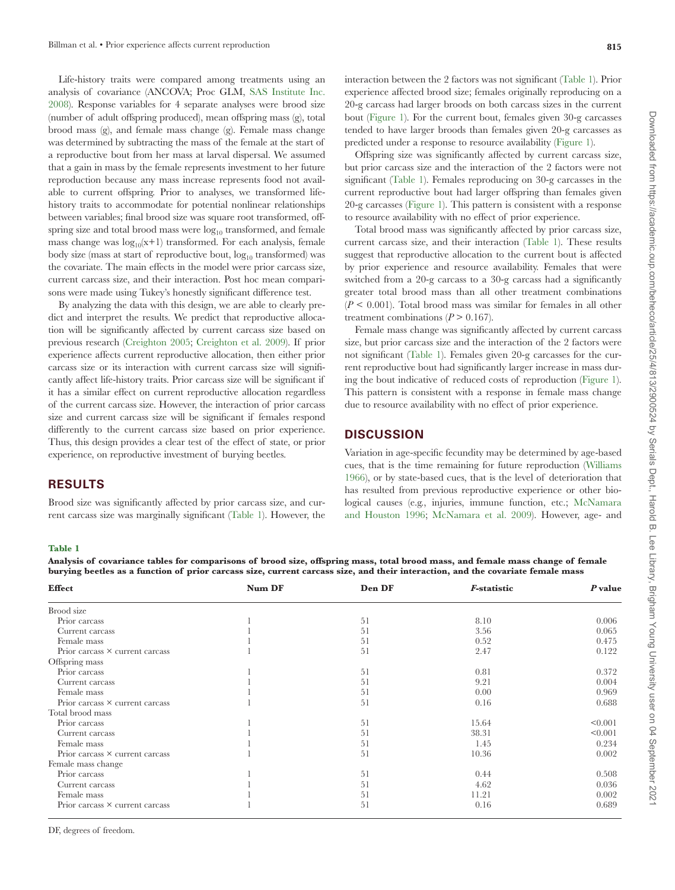Life-history traits were compared among treatments using an analysis of covariance (ANCOVA; Proc GLM, [SAS Institute Inc.](#page-5-13) [2008](#page-5-13)). Response variables for 4 separate analyses were brood size (number of adult offspring produced), mean offspring mass (g), total brood mass (g), and female mass change (g). Female mass change was determined by subtracting the mass of the female at the start of a reproductive bout from her mass at larval dispersal. We assumed that a gain in mass by the female represents investment to her future reproduction because any mass increase represents food not available to current offspring. Prior to analyses, we transformed lifehistory traits to accommodate for potential nonlinear relationships between variables; final brood size was square root transformed, offspring size and total brood mass were  $log_{10}$  transformed, and female mass change was  $log_{10}(x+1)$  transformed. For each analysis, female body size (mass at start of reproductive bout,  $log_{10}$  transformed) was the covariate. The main effects in the model were prior carcass size, current carcass size, and their interaction. Post hoc mean comparisons were made using Tukey's honestly significant difference test.

By analyzing the data with this design, we are able to clearly predict and interpret the results. We predict that reproductive allocation will be significantly affected by current carcass size based on previous research [\(Creighton 2005;](#page-5-11) [Creighton et al. 2009](#page-5-9)). If prior experience affects current reproductive allocation, then either prior carcass size or its interaction with current carcass size will significantly affect life-history traits. Prior carcass size will be significant if it has a similar effect on current reproductive allocation regardless of the current carcass size. However, the interaction of prior carcass size and current carcass size will be significant if females respond differently to the current carcass size based on prior experience. Thus, this design provides a clear test of the effect of state, or prior experience, on reproductive investment of burying beetles.

#### **Results**

Brood size was significantly affected by prior carcass size, and current carcass size was marginally significant ([Table 1\)](#page-3-0). However, the interaction between the 2 factors was not significant ([Table 1\)](#page-3-0). Prior experience affected brood size; females originally reproducing on a 20-g carcass had larger broods on both carcass sizes in the current bout ([Figure 1\)](#page-4-0). For the current bout, females given 30-g carcasses tended to have larger broods than females given 20-g carcasses as predicted under a response to resource availability ([Figure 1\)](#page-4-0).

Offspring size was significantly affected by current carcass size, but prior carcass size and the interaction of the 2 factors were not significant [\(Table 1\)](#page-3-0). Females reproducing on 30-g carcasses in the current reproductive bout had larger offspring than females given 20-g carcasses [\(Figure 1\)](#page-4-0). This pattern is consistent with a response to resource availability with no effect of prior experience.

Total brood mass was significantly affected by prior carcass size, current carcass size, and their interaction ([Table 1](#page-3-0)). These results suggest that reproductive allocation to the current bout is affected by prior experience and resource availability. Females that were switched from a 20-g carcass to a 30-g carcass had a significantly greater total brood mass than all other treatment combinations  $(P \leq 0.001)$ . Total brood mass was similar for females in all other treatment combinations  $(P > 0.167)$ .

Female mass change was significantly affected by current carcass size, but prior carcass size and the interaction of the 2 factors were not significant [\(Table 1](#page-3-0)). Females given 20-g carcasses for the current reproductive bout had significantly larger increase in mass during the bout indicative of reduced costs of reproduction [\(Figure 1\)](#page-4-0). This pattern is consistent with a response in female mass change due to resource availability with no effect of prior experience.

#### **Discussion**

Variation in age-specific fecundity may be determined by age-based cues, that is the time remaining for future reproduction ([Williams](#page-6-0) [1966](#page-6-0)), or by state-based cues, that is the level of deterioration that has resulted from previous reproductive experience or other biological causes (e.g., injuries, immune function, etc.; [McNamara](#page-5-4) [and Houston 1996](#page-5-4); [McNamara et al. 2009\)](#page-5-7). However, age- and

#### <span id="page-3-0"></span>**Table 1**

**Analysis of covariance tables for comparisons of brood size, offspring mass, total brood mass, and female mass change of female burying beetles as a function of prior carcass size, current carcass size, and their interaction, and the covariate female mass**

| <b>Effect</b>                          | Num DF | Den DF | F-statistic | P value |
|----------------------------------------|--------|--------|-------------|---------|
|                                        |        |        |             |         |
| Brood size                             |        |        |             |         |
| Prior carcass                          |        | 51     | 8.10        | 0.006   |
| Current carcass                        |        | 51     | 3.56        | 0.065   |
| Female mass                            |        | 51     | 0.52        | 0.475   |
| Prior carcass $\times$ current carcass |        | 51     | 2.47        | 0.122   |
| Offspring mass                         |        |        |             |         |
| Prior carcass                          |        | 51     | 0.81        | 0.372   |
| Current carcass                        |        | 51     | 9.21        | 0.004   |
| Female mass                            |        | 51     | 0.00        | 0.969   |
| Prior carcass $\times$ current carcass |        | 51     | 0.16        | 0.688   |
| Total brood mass                       |        |        |             |         |
| Prior carcass                          |        | 51     | 15.64       | < 0.001 |
| Current carcass                        |        | 51     | 38.31       | < 0.001 |
| Female mass                            |        | 51     | 1.45        | 0.234   |
| Prior carcass $\times$ current carcass |        | 51     | 10.36       | 0.002   |
| Female mass change                     |        |        |             |         |
| Prior carcass                          |        | 51     | 0.44        | 0.508   |
| Current carcass                        |        | 51     | 4.62        | 0.036   |
| Female mass                            |        | 51     | 11.21       | 0.002   |
| Prior carcass $\times$ current carcass |        | 51     | 0.16        | 0.689   |

DF, degrees of freedom.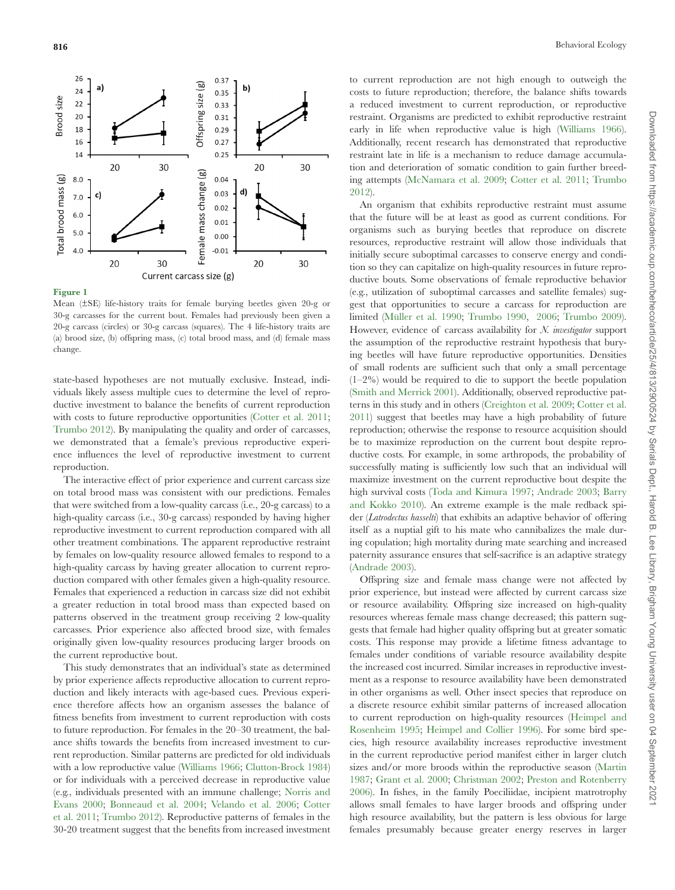

#### <span id="page-4-0"></span>Figure 1

Mean (±SE) life-history traits for female burying beetles given 20-g or 30-g carcasses for the current bout. Females had previously been given a 20-g carcass (circles) or 30-g carcass (squares). The 4 life-history traits are (a) brood size, (b) offspring mass, (c) total brood mass, and (d) female mass change.

state-based hypotheses are not mutually exclusive. Instead, individuals likely assess multiple cues to determine the level of reproductive investment to balance the benefits of current reproduction with costs to future reproductive opportunities [\(Cotter et al. 2011](#page-5-10); [Trumbo 2012](#page-6-3)). By manipulating the quality and order of carcasses, we demonstrated that a female's previous reproductive experience influences the level of reproductive investment to current reproduction.

The interactive effect of prior experience and current carcass size on total brood mass was consistent with our predictions. Females that were switched from a low-quality carcass (i.e., 20-g carcass) to a high-quality carcass (i.e., 30-g carcass) responded by having higher reproductive investment to current reproduction compared with all other treatment combinations. The apparent reproductive restraint by females on low-quality resource allowed females to respond to a high-quality carcass by having greater allocation to current reproduction compared with other females given a high-quality resource. Females that experienced a reduction in carcass size did not exhibit a greater reduction in total brood mass than expected based on patterns observed in the treatment group receiving 2 low-quality carcasses. Prior experience also affected brood size, with females originally given low-quality resources producing larger broods on the current reproductive bout.

This study demonstrates that an individual's state as determined by prior experience affects reproductive allocation to current reproduction and likely interacts with age-based cues. Previous experience therefore affects how an organism assesses the balance of fitness benefits from investment to current reproduction with costs to future reproduction. For females in the 20–30 treatment, the balance shifts towards the benefits from increased investment to current reproduction. Similar patterns are predicted for old individuals with a low reproductive value [\(Williams 1966](#page-6-0); [Clutton-Brock 1984\)](#page-5-3) or for individuals with a perceived decrease in reproductive value (e.g., individuals presented with an immune challenge; [Norris and](#page-5-14)  [Evans 2000;](#page-5-14) [Bonneaud et al. 2004](#page-5-15); [Velando et al. 2006;](#page-6-7) [Cotter](#page-5-10)  [et al. 2011](#page-5-10); [Trumbo 2012](#page-6-3)). Reproductive patterns of females in the 30-20 treatment suggest that the benefits from increased investment

to current reproduction are not high enough to outweigh the costs to future reproduction; therefore, the balance shifts towards a reduced investment to current reproduction, or reproductive restraint. Organisms are predicted to exhibit reproductive restraint early in life when reproductive value is high [\(Williams 1966](#page-6-0)). Additionally, recent research has demonstrated that reproductive restraint late in life is a mechanism to reduce damage accumulation and deterioration of somatic condition to gain further breeding attempts ([McNamara et al. 2009;](#page-5-7) [Cotter et al. 2011;](#page-5-10) [Trumbo](#page-6-3) [2012\)](#page-6-3).

An organism that exhibits reproductive restraint must assume that the future will be at least as good as current conditions. For organisms such as burying beetles that reproduce on discrete resources, reproductive restraint will allow those individuals that initially secure suboptimal carcasses to conserve energy and condition so they can capitalize on high-quality resources in future reproductive bouts. Some observations of female reproductive behavior (e.g., utilization of suboptimal carcasses and satellite females) suggest that opportunities to secure a carcass for reproduction are limited [\(Müller et al. 1990](#page-5-16); [Trumbo 1990](#page-6-8), [2006](#page-6-6); [Trumbo 2009](#page-6-9)). However, evidence of carcass availability for *N. investigator* support the assumption of the reproductive restraint hypothesis that burying beetles will have future reproductive opportunities. Densities of small rodents are sufficient such that only a small percentage  $(1-2\%)$  would be required to die to support the beetle population ([Smith and Merrick 2001\)](#page-6-10). Additionally, observed reproductive patterns in this study and in others [\(Creighton et al. 2009](#page-5-9); [Cotter et al.](#page-5-10) [2011\)](#page-5-10) suggest that beetles may have a high probability of future reproduction; otherwise the response to resource acquisition should be to maximize reproduction on the current bout despite reproductive costs. For example, in some arthropods, the probability of successfully mating is sufficiently low such that an individual will maximize investment on the current reproductive bout despite the high survival costs ([Toda and Kimura 1997;](#page-6-11) [Andrade 2003;](#page-5-17) [Barry](#page-5-18) [and Kokko 2010\)](#page-5-18). An extreme example is the male redback spider (*Latrodectus hasselti*) that exhibits an adaptive behavior of offering itself as a nuptial gift to his mate who cannibalizes the male during copulation; high mortality during mate searching and increased paternity assurance ensures that self-sacrifice is an adaptive strategy ([Andrade 2003](#page-5-17)).

Offspring size and female mass change were not affected by prior experience, but instead were affected by current carcass size or resource availability. Offspring size increased on high-quality resources whereas female mass change decreased; this pattern suggests that female had higher quality offspring but at greater somatic costs. This response may provide a lifetime fitness advantage to females under conditions of variable resource availability despite the increased cost incurred. Similar increases in reproductive investment as a response to resource availability have been demonstrated in other organisms as well. Other insect species that reproduce on a discrete resource exhibit similar patterns of increased allocation to current reproduction on high-quality resources [\(Heimpel and](#page-5-19) [Rosenheim 1995;](#page-5-19) [Heimpel and Collier 1996\)](#page-5-20). For some bird species, high resource availability increases reproductive investment in the current reproductive period manifest either in larger clutch sizes and/or more broods within the reproductive season ([Martin](#page-5-21) [1987;](#page-5-21) [Grant et al. 2000](#page-5-22); [Christman 2002;](#page-5-23) [Preston and Rotenberry](#page-5-24) [2006\)](#page-5-24). In fishes, in the family Poeciliidae, incipient matrotrophy allows small females to have larger broods and offspring under high resource availability, but the pattern is less obvious for large females presumably because greater energy reserves in larger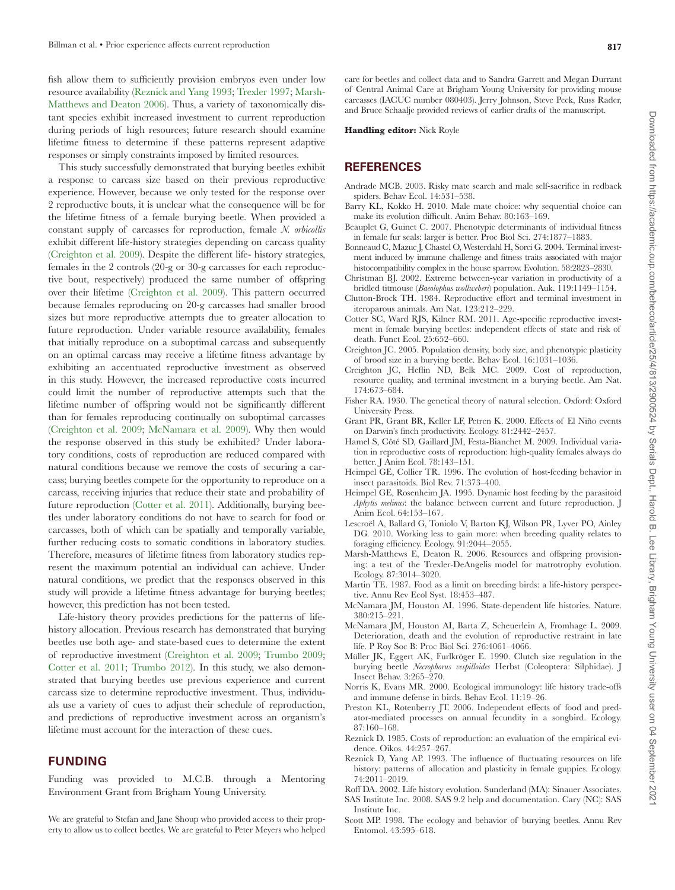fish allow them to sufficiently provision embryos even under low resource availability [\(Reznick and Yang 1993](#page-5-25); [Trexler 1997](#page-6-12); [Marsh-](#page-5-26)[Matthews and Deaton 2006\)](#page-5-26). Thus, a variety of taxonomically distant species exhibit increased investment to current reproduction during periods of high resources; future research should examine lifetime fitness to determine if these patterns represent adaptive responses or simply constraints imposed by limited resources.

This study successfully demonstrated that burying beetles exhibit a response to carcass size based on their previous reproductive experience. However, because we only tested for the response over 2 reproductive bouts, it is unclear what the consequence will be for the lifetime fitness of a female burying beetle. When provided a constant supply of carcasses for reproduction, female *N. orbicollis* exhibit different life-history strategies depending on carcass quality ([Creighton et al. 2009\)](#page-5-9). Despite the different life- history strategies, females in the 2 controls (20-g or 30-g carcasses for each reproductive bout, respectively) produced the same number of offspring over their lifetime ([Creighton et al. 2009\)](#page-5-9). This pattern occurred because females reproducing on 20-g carcasses had smaller brood sizes but more reproductive attempts due to greater allocation to future reproduction. Under variable resource availability, females that initially reproduce on a suboptimal carcass and subsequently on an optimal carcass may receive a lifetime fitness advantage by exhibiting an accentuated reproductive investment as observed in this study. However, the increased reproductive costs incurred could limit the number of reproductive attempts such that the lifetime number of offspring would not be significantly different than for females reproducing continually on suboptimal carcasses ([Creighton et al. 2009;](#page-5-9) [McNamara et al. 2009](#page-5-7)). Why then would the response observed in this study be exhibited? Under laboratory conditions, costs of reproduction are reduced compared with natural conditions because we remove the costs of securing a carcass; burying beetles compete for the opportunity to reproduce on a carcass, receiving injuries that reduce their state and probability of future reproduction ([Cotter et al. 2011](#page-5-10)). Additionally, burying beetles under laboratory conditions do not have to search for food or carcasses, both of which can be spatially and temporally variable, further reducing costs to somatic conditions in laboratory studies. Therefore, measures of lifetime fitness from laboratory studies represent the maximum potential an individual can achieve. Under natural conditions, we predict that the responses observed in this study will provide a lifetime fitness advantage for burying beetles; however, this prediction has not been tested.

Life-history theory provides predictions for the patterns of lifehistory allocation. Previous research has demonstrated that burying beetles use both age- and state-based cues to determine the extent of reproductive investment [\(Creighton et al. 2009](#page-5-9); [Trumbo 2009](#page-6-9); [Cotter et al. 2011](#page-5-10); [Trumbo 2012\)](#page-6-3). In this study, we also demonstrated that burying beetles use previous experience and current carcass size to determine reproductive investment. Thus, individuals use a variety of cues to adjust their schedule of reproduction, and predictions of reproductive investment across an organism's lifetime must account for the interaction of these cues.

#### **Funding**

Funding was provided to M.C.B. through a Mentoring Environment Grant from Brigham Young University.

We are grateful to Stefan and Jane Shoup who provided access to their property to allow us to collect beetles. We are grateful to Peter Meyers who helped care for beetles and collect data and to Sandra Garrett and Megan Durrant of Central Animal Care at Brigham Young University for providing mouse carcasses (IACUC number 080403). Jerry Johnson, Steve Peck, Russ Rader, and Bruce Schaalje provided reviews of earlier drafts of the manuscript.

#### **Handling editor:** Nick Royle

#### **References**

- <span id="page-5-17"></span>Andrade MCB. 2003. Risky mate search and male self-sacrifice in redback spiders. Behav Ecol. 14:531–538.
- <span id="page-5-18"></span>Barry KL, Kokko H. 2010. Male mate choice: why sequential choice can make its evolution difficult. Anim Behav. 80:163–169.
- <span id="page-5-5"></span>Beauplet G, Guinet C. 2007. Phenotypic determinants of individual fitness in female fur seals: larger is better. Proc Biol Sci. 274:1877–1883.
- <span id="page-5-15"></span>Bonneaud C, Mazuc J, Chastel O, Westerdahl H, Sorci G. 2004. Terminal investment induced by immune challenge and fitness traits associated with major histocompatibility complex in the house sparrow. Evolution. 58:2823–2830.
- <span id="page-5-23"></span>Christman BJ. 2002. Extreme between-year variation in productivity of a bridled titmouse (*Baeolophus wollweberi*) population. Auk. 119:1149–1154.
- <span id="page-5-3"></span>Clutton-Brock TH. 1984. Reproductive effort and terminal investment in iteroparous animals. Am Nat. 123:212–229.
- <span id="page-5-10"></span>Cotter SC, Ward RJS, Kilner RM. 2011. Age-specific reproductive investment in female burying beetles: independent effects of state and risk of death. Funct Ecol. 25:652–660.
- <span id="page-5-11"></span>Creighton JC. 2005. Population density, body size, and phenotypic plasticity of brood size in a burying beetle. Behav Ecol. 16:1031–1036.
- <span id="page-5-9"></span>Creighton JC, Heflin ND, Belk MC. 2009. Cost of reproduction, resource quality, and terminal investment in a burying beetle. Am Nat. 174:673–684.
- <span id="page-5-2"></span>Fisher RA. 1930. The genetical theory of natural selection. Oxford: Oxford University Press.
- <span id="page-5-22"></span>Grant PR, Grant BR, Keller LF, Petren K. 2000. Effects of El Niño events on Darwin's finch productivity. Ecology. 81:2442–2457.
- <span id="page-5-6"></span>Hamel S, Côté SD, Gaillard JM, Festa-Bianchet M. 2009. Individual variation in reproductive costs of reproduction: high-quality females always do better. J Anim Ecol. 78:143–151.
- <span id="page-5-20"></span>Heimpel GE, Collier TR. 1996. The evolution of host-feeding behavior in insect parasitoids. Biol Rev. 71:373–400.
- <span id="page-5-19"></span>Heimpel GE, Rosenheim JA. 1995. Dynamic host feeding by the parasitoid *Aphytis melinus*: the balance between current and future reproduction. J Anim Ecol. 64:153–167.
- <span id="page-5-8"></span>Lescroël A, Ballard G, Toniolo V, Barton KJ, Wilson PR, Lyver PO, Ainley DG. 2010. Working less to gain more: when breeding quality relates to foraging efficiency. Ecology. 91:2044–2055.
- <span id="page-5-26"></span>Marsh-Matthews E, Deaton R. 2006. Resources and offspring provisioning: a test of the Trexler-DeAngelis model for matrotrophy evolution. Ecology. 87:3014–3020.
- <span id="page-5-21"></span>Martin TE. 1987. Food as a limit on breeding birds: a life-history perspective. Annu Rev Ecol Syst. 18:453–487.
- <span id="page-5-4"></span>McNamara JM, Houston AI. 1996. State-dependent life histories. Nature. 380:215–221.
- <span id="page-5-7"></span>McNamara JM, Houston AI, Barta Z, Scheuerlein A, Fromhage L. 2009. Deterioration, death and the evolution of reproductive restraint in late life. P Roy Soc B: Proc Biol Sci. 276:4061–4066.
- <span id="page-5-16"></span>Müller JK, Eggert AK, Furlkröger E. 1990. Clutch size regulation in the burying beetle *Necrophorus vespilloides* Herbst (Coleoptera: Silphidae). J Insect Behav. 3:265–270.
- <span id="page-5-14"></span>Norris K, Evans MR. 2000. Ecological immunology: life history trade-offs and immune defense in birds. Behav Ecol. 11:19–26.
- <span id="page-5-24"></span>Preston KL, Rotenberry JT. 2006. Independent effects of food and predator-mediated processes on annual fecundity in a songbird. Ecology. 87:160–168.
- <span id="page-5-1"></span>Reznick D. 1985. Costs of reproduction: an evaluation of the empirical evidence. Oikos. 44:257–267.
- <span id="page-5-25"></span>Reznick D, Yang AP. 1993. The influence of fluctuating resources on life history: patterns of allocation and plasticity in female guppies. Ecology. 74:2011–2019.

<span id="page-5-0"></span>Roff DA. 2002. Life history evolution. Sunderland (MA): Sinauer Associates.

<span id="page-5-13"></span>SAS Institute Inc. 2008. SAS 9.2 help and documentation. Cary (NC): SAS Institute Inc.

<span id="page-5-12"></span>Scott MP. 1998. The ecology and behavior of burying beetles. Annu Rev Entomol. 43:595–618.